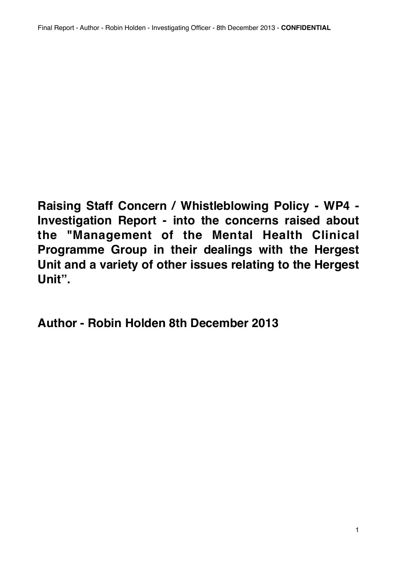**Raising Staff Concern / Whistleblowing Policy - WP4 - Investigation Report - into the concerns raised about the "Management of the Mental Health Clinical Programme Group in their dealings with the Hergest Unit and a variety of other issues relating to the Hergest Unit".**

**Author - Robin Holden 8th December 2013**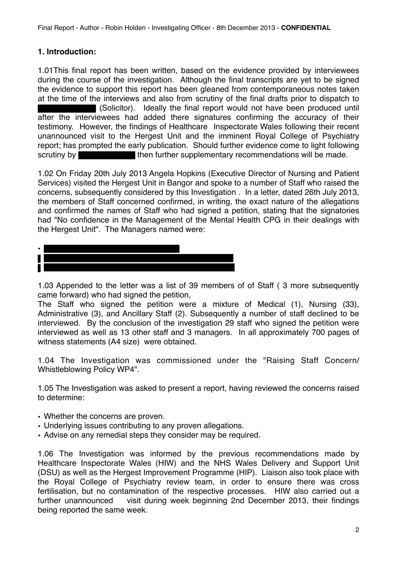# **1. Introduction:**

1.01This final report has been written, based on the evidence provided by interviewees during the course of the investigation. Although the final transcripts are yet to be signed the evidence to support this report has been gleaned from contemporaneous notes taken at the time of the interviews and also from scrutiny of the final drafts prior to dispatch to (Solicitor). Ideally the final report would not have been produced until after the interviewees had added there signatures confirming the accuracy of their testimony. However, the findings of Healthcare Inspectorate Wales following their recent unannounced visit to the Hergest Unit and the imminent Royal College of Psychiatry report; has prompted the early publication. Should further evidence come to light following scrutiny by then further supplementary recommendations will be made.

1.02 On Friday 20th July 2013 Angela Hopkins (Executive Director of Nursing and Patient Services) visited the Hergest Unit in Bangor and spoke to a number of Staff who raised the concerns, subsequently considered by this Investigation . In a letter, dated 26th July 2013, the members of Staff concerned confirmed, in writing, the exact nature of the allegations and confirmed the names of Staff who had signed a petition, stating that the signatories had "No confidence in the Management of the Mental Health CPG in their dealings with the Hergest Unit". The Managers named were:



1.03 Appended to the letter was a list of 39 members of of Staff ( 3 more subsequently came forward) who had signed the petition,

The Staff who signed the petition were a mixture of Medical (1), Nursing (33), Administrative (3), and Ancillary Staff (2). Subsequently a number of staff declined to be interviewed. By the conclusion of the investigation 29 staff who signed the petition were interviewed as well as 13 other staff and 3 managers. In all approximately 700 pages of witness statements (A4 size) were obtained.

1.04 The Investigation was commissioned under the "Raising Staff Concern/ Whistleblowing Policy WP4".

1.05 The Investigation was asked to present a report, having reviewed the concerns raised to determine:

- Whether the concerns are proven.
- Underlying issues contributing to any proven allegations.
- Advise on any remedial steps they consider may be required.

1.06 The Investigation was informed by the previous recommendations made by Healthcare Inspectorate Wales (HIW) and the NHS Wales Delivery and Support Unit (DSU) as well as the Hergest Improvement Programme (HIP). Liaison also took place with the Royal College of Psychiatry review team, in order to ensure there was cross fertilisation, but no contamination of the respective processes. HIW also carried out a further unannounced visit during week beginning 2nd December 2013, their findings being reported the same week.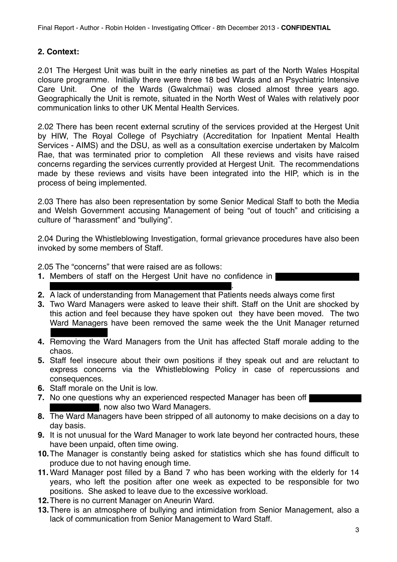# **2. Context:**

2.01 The Hergest Unit was built in the early nineties as part of the North Wales Hospital closure programme. Initially there were three 18 bed Wards and an Psychiatric Intensive Care Unit. One of the Wards (Gwalchmai) was closed almost three years ago. Geographically the Unit is remote, situated in the North West of Wales with relatively poor communication links to other UK Mental Health Services.

2.02 There has been recent external scrutiny of the services provided at the Hergest Unit by HIW, The Royal College of Psychiatry (Accreditation for Inpatient Mental Health Services - AIMS) and the DSU, as well as a consultation exercise undertaken by Malcolm Rae, that was terminated prior to completion All these reviews and visits have raised concerns regarding the services currently provided at Hergest Unit. The recommendations made by these reviews and visits have been integrated into the HIP, which is in the process of being implemented.

2.03 There has also been representation by some Senior Medical Staff to both the Media and Welsh Government accusing Management of being "out of touch" and criticising a culture of "harassment" and "bullying".

2.04 During the Whistleblowing Investigation, formal grievance procedures have also been invoked by some members of Staff.

2.05 The "concerns" that were raised are as follows:

- **1.** Members of staff on the Hergest Unit have no confidence in I
- . **2.** A lack of understanding from Management that Patients needs always come first
- **3.** Two Ward Managers were asked to leave their shift. Staff on the Unit are shocked by this action and feel because they have spoken out they have been moved. The two Ward Managers have been removed the same week the the Unit Manager returned
- **4.** Removing the Ward Managers from the Unit has affected Staff morale adding to the chaos.
- **5.** Staff feel insecure about their own positions if they speak out and are reluctant to express concerns via the Whistleblowing Policy in case of repercussions and consequences.
- **6.** Staff morale on the Unit is low.
- **7.** No one questions why an experienced respected Manager has been off , now also two Ward Managers.
- **8.** The Ward Managers have been stripped of all autonomy to make decisions on a day to day basis.
- **9.** It is not unusual for the Ward Manager to work late beyond her contracted hours, these have been unpaid, often time owing.
- **10.**The Manager is constantly being asked for statistics which she has found difficult to produce due to not having enough time.
- **11.** Ward Manager post filled by a Band 7 who has been working with the elderly for 14 years, who left the position after one week as expected to be responsible for two positions. She asked to leave due to the excessive workload.
- **12.**There is no current Manager on Aneurin Ward.
- **13.**There is an atmosphere of bullying and intimidation from Senior Management, also a lack of communication from Senior Management to Ward Staff.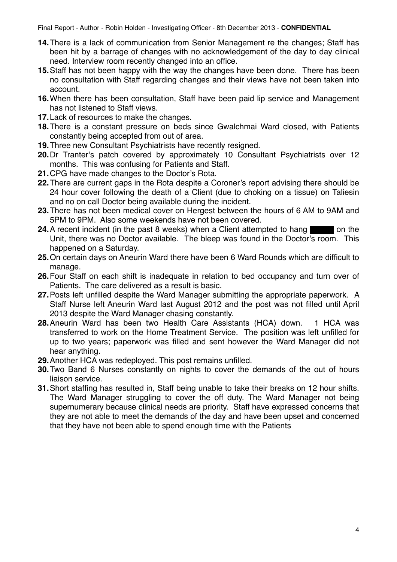- **14.**There is a lack of communication from Senior Management re the changes; Staff has been hit by a barrage of changes with no acknowledgement of the day to day clinical need. Interview room recently changed into an office.
- **15.**Staff has not been happy with the way the changes have been done. There has been no consultation with Staff regarding changes and their views have not been taken into account.
- **16.**When there has been consultation, Staff have been paid lip service and Management has not listened to Staff views.
- **17.**Lack of resources to make the changes.
- **18.**There is a constant pressure on beds since Gwalchmai Ward closed, with Patients constantly being accepted from out of area.
- **19.**Three new Consultant Psychiatrists have recently resigned.
- **20.**Dr Tranter's patch covered by approximately 10 Consultant Psychiatrists over 12 months. This was confusing for Patients and Staff.
- **21.**CPG have made changes to the Doctor's Rota.
- **22.**There are current gaps in the Rota despite a Coroner's report advising there should be 24 hour cover following the death of a Client (due to choking on a tissue) on Taliesin and no on call Doctor being available during the incident.
- **23.**There has not been medical cover on Hergest between the hours of 6 AM to 9AM and 5PM to 9PM. Also some weekends have not been covered.
- **24.** A recent incident (in the past 8 weeks) when a Client attempted to hang on the Unit, there was no Doctor available. The bleep was found in the Doctor's room. This happened on a Saturday.
- **25.**On certain days on Aneurin Ward there have been 6 Ward Rounds which are difficult to manage.
- **26.**Four Staff on each shift is inadequate in relation to bed occupancy and turn over of Patients. The care delivered as a result is basic.
- **27.**Posts left unfilled despite the Ward Manager submitting the appropriate paperwork. A Staff Nurse left Aneurin Ward last August 2012 and the post was not filled until April 2013 despite the Ward Manager chasing constantly.
- **28.** Aneurin Ward has been two Health Care Assistants (HCA) down. 1 HCA was transferred to work on the Home Treatment Service. The position was left unfilled for up to two years; paperwork was filled and sent however the Ward Manager did not hear anything.
- **29.**Another HCA was redeployed. This post remains unfilled.
- **30.**Two Band 6 Nurses constantly on nights to cover the demands of the out of hours liaison service.
- **31.**Short staffing has resulted in, Staff being unable to take their breaks on 12 hour shifts. The Ward Manager struggling to cover the off duty. The Ward Manager not being supernumerary because clinical needs are priority. Staff have expressed concerns that they are not able to meet the demands of the day and have been upset and concerned that they have not been able to spend enough time with the Patients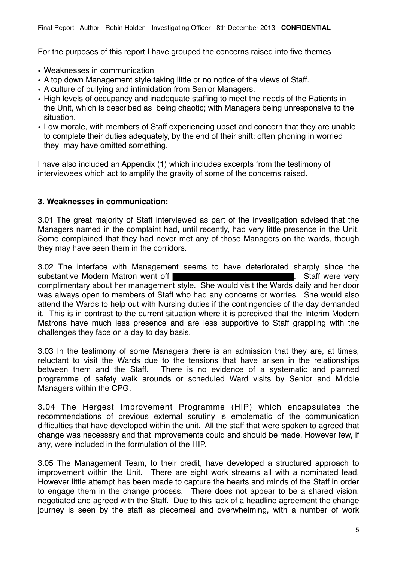For the purposes of this report I have grouped the concerns raised into five themes

- Weaknesses in communication
- A top down Management style taking little or no notice of the views of Staff.
- A culture of bullying and intimidation from Senior Managers.
- High levels of occupancy and inadequate staffing to meet the needs of the Patients in the Unit, which is described as being chaotic; with Managers being unresponsive to the situation.
- Low morale, with members of Staff experiencing upset and concern that they are unable to complete their duties adequately, by the end of their shift; often phoning in worried they may have omitted something.

I have also included an Appendix (1) which includes excerpts from the testimony of interviewees which act to amplify the gravity of some of the concerns raised.

#### **3. Weaknesses in communication:**

3.01 The great majority of Staff interviewed as part of the investigation advised that the Managers named in the complaint had, until recently, had very little presence in the Unit. Some complained that they had never met any of those Managers on the wards, though they may have seen them in the corridors.

3.02 The interface with Management seems to have deteriorated sharply since the substantive Modern Matron went off **Exercise 2008 Start Weiter Constantive Modern Matron went of F** complimentary about her management style. She would visit the Wards daily and her door was always open to members of Staff who had any concerns or worries. She would also attend the Wards to help out with Nursing duties if the contingencies of the day demanded it. This is in contrast to the current situation where it is perceived that the Interim Modern Matrons have much less presence and are less supportive to Staff grappling with the challenges they face on a day to day basis.

3.03 In the testimony of some Managers there is an admission that they are, at times, reluctant to visit the Wards due to the tensions that have arisen in the relationships between them and the Staff. There is no evidence of a systematic and planned programme of safety walk arounds or scheduled Ward visits by Senior and Middle Managers within the CPG.

3.04 The Hergest Improvement Programme (HIP) which encapsulates the recommendations of previous external scrutiny is emblematic of the communication difficulties that have developed within the unit. All the staff that were spoken to agreed that change was necessary and that improvements could and should be made. However few, if any, were included in the formulation of the HIP.

3.05 The Management Team, to their credit, have developed a structured approach to improvement within the Unit. There are eight work streams all with a nominated lead. However little attempt has been made to capture the hearts and minds of the Staff in order to engage them in the change process. There does not appear to be a shared vision, negotiated and agreed with the Staff. Due to this lack of a headline agreement the change journey is seen by the staff as piecemeal and overwhelming, with a number of work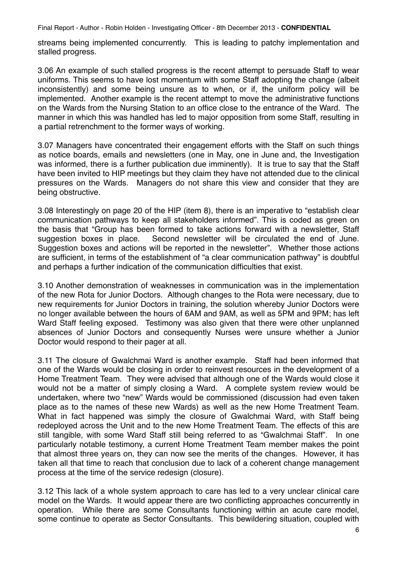streams being implemented concurrently. This is leading to patchy implementation and stalled progress.

3.06 An example of such stalled progress is the recent attempt to persuade Staff to wear uniforms. This seems to have lost momentum with some Staff adopting the change (albeit inconsistently) and some being unsure as to when, or if, the uniform policy will be implemented. Another example is the recent attempt to move the administrative functions on the Wards from the Nursing Station to an office close to the entrance of the Ward. The manner in which this was handled has led to major opposition from some Staff, resulting in a partial retrenchment to the former ways of working.

3.07 Managers have concentrated their engagement efforts with the Staff on such things as notice boards, emails and newsletters (one in May, one in June and, the Investigation was informed, there is a further publication due imminently). It is true to say that the Staff have been invited to HIP meetings but they claim they have not attended due to the clinical pressures on the Wards. Managers do not share this view and consider that they are being obstructive.

3.08 Interestingly on page 20 of the HIP (item 8), there is an imperative to "establish clear communication pathways to keep all stakeholders informed". This is coded as green on the basis that "Group has been formed to take actions forward with a newsletter, Staff suggestion boxes in place. Second newsletter will be circulated the end of June. Suggestion boxes and actions will be reported in the newsletter". Whether those actions are sufficient, in terms of the establishment of "a clear communication pathway" is doubtful and perhaps a further indication of the communication difficulties that exist.

3.10 Another demonstration of weaknesses in communication was in the implementation of the new Rota for Junior Doctors. Although changes to the Rota were necessary, due to new requirements for Junior Doctors in training, the solution whereby Junior Doctors were no longer available between the hours of 6AM and 9AM, as well as 5PM and 9PM; has left Ward Staff feeling exposed. Testimony was also given that there were other unplanned absences of Junior Doctors and consequently Nurses were unsure whether a Junior Doctor would respond to their pager at all.

3.11 The closure of Gwalchmai Ward is another example. Staff had been informed that one of the Wards would be closing in order to reinvest resources in the development of a Home Treatment Team. They were advised that although one of the Wards would close it would not be a matter of simply closing a Ward. A complete system review would be undertaken, where two "new" Wards would be commissioned (discussion had even taken place as to the names of these new Wards) as well as the new Home Treatment Team. What in fact happened was simply the closure of Gwalchmai Ward, with Staff being redeployed across the Unit and to the new Home Treatment Team. The effects of this are still tangible, with some Ward Staff still being referred to as "Gwalchmai Staff". In one particularly notable testimony, a current Home Treatment Team member makes the point that almost three years on, they can now see the merits of the changes. However, it has taken all that time to reach that conclusion due to lack of a coherent change management process at the time of the service redesign (closure).

3.12 This lack of a whole system approach to care has led to a very unclear clinical care model on the Wards. It would appear there are two conflicting approaches concurrently in operation. While there are some Consultants functioning within an acute care model, some continue to operate as Sector Consultants. This bewildering situation, coupled with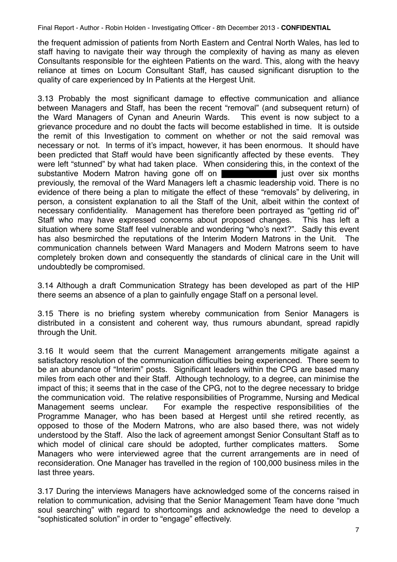the frequent admission of patients from North Eastern and Central North Wales, has led to staff having to navigate their way through the complexity of having as many as eleven Consultants responsible for the eighteen Patients on the ward. This, along with the heavy reliance at times on Locum Consultant Staff, has caused significant disruption to the quality of care experienced by In Patients at the Hergest Unit.

3.13 Probably the most significant damage to effective communication and alliance between Managers and Staff, has been the recent "removal" (and subsequent return) of the Ward Managers of Cynan and Aneurin Wards. This event is now subject to a grievance procedure and no doubt the facts will become established in time. It is outside the remit of this Investigation to comment on whether or not the said removal was necessary or not. In terms of it's impact, however, it has been enormous. It should have been predicted that Staff would have been significantly affected by these events. They were left "stunned" by what had taken place. When considering this, in the context of the substantive Modern Matron having gone off on **interest and the six months** previously, the removal of the Ward Managers left a chasmic leadership void. There is no evidence of there being a plan to mitigate the effect of these "removals" by delivering, in person, a consistent explanation to all the Staff of the Unit, albeit within the context of necessary confidentiality. Management has therefore been portrayed as "getting rid of" Staff who may have expressed concerns about proposed changes. This has left a situation where some Staff feel vulnerable and wondering "who's next?". Sadly this event has also besmirched the reputations of the Interim Modern Matrons in the Unit. The communication channels between Ward Managers and Modern Matrons seem to have completely broken down and consequently the standards of clinical care in the Unit will undoubtedly be compromised.

3.14 Although a draft Communication Strategy has been developed as part of the HIP there seems an absence of a plan to gainfully engage Staff on a personal level.

3.15 There is no briefing system whereby communication from Senior Managers is distributed in a consistent and coherent way, thus rumours abundant, spread rapidly through the Unit.

3.16 It would seem that the current Management arrangements mitigate against a satisfactory resolution of the communication difficulties being experienced. There seem to be an abundance of "Interim" posts. Significant leaders within the CPG are based many miles from each other and their Staff. Although technology, to a degree, can minimise the impact of this; it seems that in the case of the CPG, not to the degree necessary to bridge the communication void. The relative responsibilities of Programme, Nursing and Medical Management seems unclear. For example the respective responsibilities of the Programme Manager, who has been based at Hergest until she retired recently, as opposed to those of the Modern Matrons, who are also based there, was not widely understood by the Staff. Also the lack of agreement amongst Senior Consultant Staff as to which model of clinical care should be adopted, further complicates matters. Some Managers who were interviewed agree that the current arrangements are in need of reconsideration. One Manager has travelled in the region of 100,000 business miles in the last three years.

3.17 During the interviews Managers have acknowledged some of the concerns raised in relation to communication, advising that the Senior Management Team have done "much soul searching" with regard to shortcomings and acknowledge the need to develop a "sophisticated solution" in order to "engage" effectively.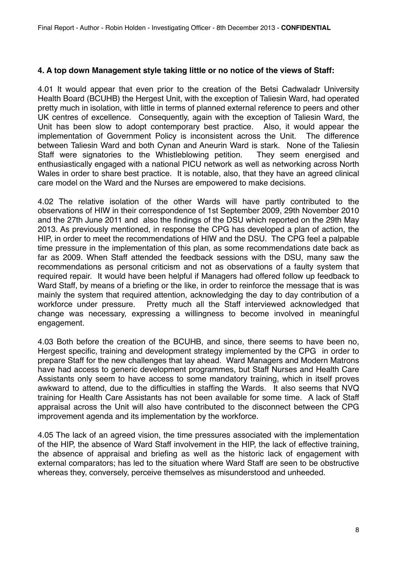#### **4. A top down Management style taking little or no notice of the views of Staff:**

4.01 It would appear that even prior to the creation of the Betsi Cadwaladr University Health Board (BCUHB) the Hergest Unit, with the exception of Taliesin Ward, had operated pretty much in isolation, with little in terms of planned external reference to peers and other UK centres of excellence. Consequently, again with the exception of Taliesin Ward, the Unit has been slow to adopt contemporary best practice. Also, it would appear the implementation of Government Policy is inconsistent across the Unit. The difference between Taliesin Ward and both Cynan and Aneurin Ward is stark. None of the Taliesin Staff were signatories to the Whistleblowing petition. They seem energised and enthusiastically engaged with a national PICU network as well as networking across North Wales in order to share best practice. It is notable, also, that they have an agreed clinical care model on the Ward and the Nurses are empowered to make decisions.

4.02 The relative isolation of the other Wards will have partly contributed to the observations of HIW in their correspondence of 1st September 2009, 29th November 2010 and the 27th June 2011 and also the findings of the DSU which reported on the 29th May 2013. As previously mentioned, in response the CPG has developed a plan of action, the HIP, in order to meet the recommendations of HIW and the DSU. The CPG feel a palpable time pressure in the implementation of this plan, as some recommendations date back as far as 2009. When Staff attended the feedback sessions with the DSU, many saw the recommendations as personal criticism and not as observations of a faulty system that required repair. It would have been helpful if Managers had offered follow up feedback to Ward Staff, by means of a briefing or the like, in order to reinforce the message that is was mainly the system that required attention, acknowledging the day to day contribution of a workforce under pressure. Pretty much all the Staff interviewed acknowledged that change was necessary, expressing a willingness to become involved in meaningful engagement.

4.03 Both before the creation of the BCUHB, and since, there seems to have been no, Hergest specific, training and development strategy implemented by the CPG in order to prepare Staff for the new challenges that lay ahead. Ward Managers and Modern Matrons have had access to generic development programmes, but Staff Nurses and Health Care Assistants only seem to have access to some mandatory training, which in itself proves awkward to attend, due to the difficulties in staffing the Wards. It also seems that NVQ training for Health Care Assistants has not been available for some time. A lack of Staff appraisal across the Unit will also have contributed to the disconnect between the CPG improvement agenda and its implementation by the workforce.

4.05 The lack of an agreed vision, the time pressures associated with the implementation of the HIP, the absence of Ward Staff involvement in the HIP, the lack of effective training, the absence of appraisal and briefing as well as the historic lack of engagement with external comparators; has led to the situation where Ward Staff are seen to be obstructive whereas they, conversely, perceive themselves as misunderstood and unheeded.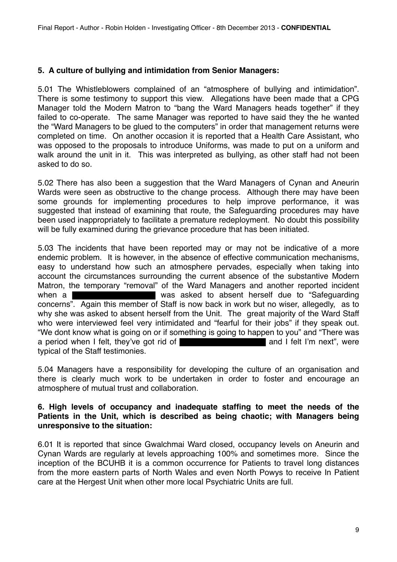### **5. A culture of bullying and intimidation from Senior Managers:**

5.01 The Whistleblowers complained of an "atmosphere of bullying and intimidation". There is some testimony to support this view. Allegations have been made that a CPG Manager told the Modern Matron to "bang the Ward Managers heads together" if they failed to co-operate. The same Manager was reported to have said they the he wanted the "Ward Managers to be glued to the computers" in order that management returns were completed on time. On another occasion it is reported that a Health Care Assistant, who was opposed to the proposals to introduce Uniforms, was made to put on a uniform and walk around the unit in it. This was interpreted as bullying, as other staff had not been asked to do so.

5.02 There has also been a suggestion that the Ward Managers of Cynan and Aneurin Wards were seen as obstructive to the change process. Although there may have been some grounds for implementing procedures to help improve performance, it was suggested that instead of examining that route, the Safeguarding procedures may have been used inappropriately to facilitate a premature redeployment. No doubt this possibility will be fully examined during the grievance procedure that has been initiated.

5.03 The incidents that have been reported may or may not be indicative of a more endemic problem. It is however, in the absence of effective communication mechanisms, easy to understand how such an atmosphere pervades, especially when taking into account the circumstances surrounding the current absence of the substantive Modern Matron, the temporary "removal" of the Ward Managers and another reported incident when a **was asked to absent herself due to "Safeguarding**" concerns". Again this member of Staff is now back in work but no wiser, allegedly, as to why she was asked to absent herself from the Unit. The great majority of the Ward Staff who were interviewed feel very intimidated and "fearful for their jobs" if they speak out. "We dont know what is going on or if something is going to happen to you" and "There was a period when I felt, they've got rid of and and I felt I'm next", were typical of the Staff testimonies.

5.04 Managers have a responsibility for developing the culture of an organisation and there is clearly much work to be undertaken in order to foster and encourage an atmosphere of mutual trust and collaboration.

#### **6. High levels of occupancy and inadequate staffing to meet the needs of the Patients in the Unit, which is described as being chaotic; with Managers being unresponsive to the situation:**

6.01 It is reported that since Gwalchmai Ward closed, occupancy levels on Aneurin and Cynan Wards are regularly at levels approaching 100% and sometimes more. Since the inception of the BCUHB it is a common occurrence for Patients to travel long distances from the more eastern parts of North Wales and even North Powys to receive In Patient care at the Hergest Unit when other more local Psychiatric Units are full.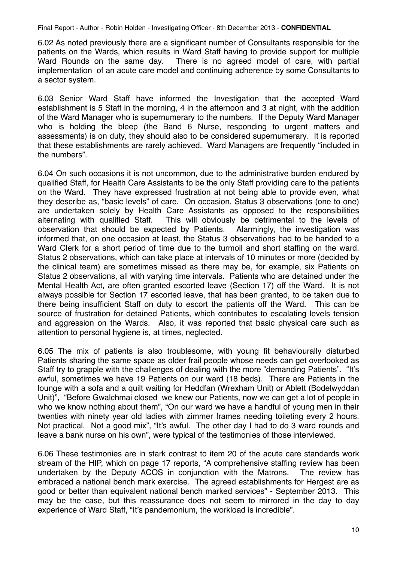6.02 As noted previously there are a significant number of Consultants responsible for the patients on the Wards, which results in Ward Staff having to provide support for multiple Ward Rounds on the same day. There is no agreed model of care, with partial implementation of an acute care model and continuing adherence by some Consultants to a sector system.

6.03 Senior Ward Staff have informed the Investigation that the accepted Ward establishment is 5 Staff in the morning, 4 in the afternoon and 3 at night, with the addition of the Ward Manager who is supernumerary to the numbers. If the Deputy Ward Manager who is holding the bleep (the Band 6 Nurse, responding to urgent matters and assessments) is on duty, they should also to be considered supernumerary. It is reported that these establishments are rarely achieved. Ward Managers are frequently "included in the numbers".

6.04 On such occasions it is not uncommon, due to the administrative burden endured by qualified Staff, for Health Care Assistants to be the only Staff providing care to the patients on the Ward. They have expressed frustration at not being able to provide even, what they describe as, "basic levels" of care. On occasion, Status 3 observations (one to one) are undertaken solely by Health Care Assistants as opposed to the responsibilities alternating with qualified Staff. This will obviously be detrimental to the levels of observation that should be expected by Patients. Alarmingly, the investigation was informed that, on one occasion at least, the Status 3 observations had to be handed to a Ward Clerk for a short period of time due to the turmoil and short staffing on the ward. Status 2 observations, which can take place at intervals of 10 minutes or more (decided by the clinical team) are sometimes missed as there may be, for example, six Patients on Status 2 observations, all with varying time intervals. Patients who are detained under the Mental Health Act, are often granted escorted leave (Section 17) off the Ward. It is not always possible for Section 17 escorted leave, that has been granted, to be taken due to there being insufficient Staff on duty to escort the patients off the Ward. This can be source of frustration for detained Patients, which contributes to escalating levels tension and aggression on the Wards. Also, it was reported that basic physical care such as attention to personal hygiene is, at times, neglected.

6.05 The mix of patients is also troublesome, with young fit behaviourally disturbed Patients sharing the same space as older frail people whose needs can get overlooked as Staff try to grapple with the challenges of dealing with the more "demanding Patients". "It's awful, sometimes we have 19 Patients on our ward (18 beds). There are Patients in the lounge with a sofa and a quilt waiting for Heddfan (Wrexham Unit) or Ablett (Bodelwyddan Unit)", "Before Gwalchmai closed we knew our Patients, now we can get a lot of people in who we know nothing about them", "On our ward we have a handful of young men in their twenties with ninety year old ladies with zimmer frames needing toileting every 2 hours. Not practical. Not a good mix", "It's awful. The other day I had to do 3 ward rounds and leave a bank nurse on his own", were typical of the testimonies of those interviewed.

6.06 These testimonies are in stark contrast to item 20 of the acute care standards work stream of the HIP, which on page 17 reports, "A comprehensive staffing review has been undertaken by the Deputy ACOS in conjunction with the Matrons. The review has embraced a national bench mark exercise. The agreed establishments for Hergest are as good or better than equivalent national bench marked services" - September 2013. This may be the case, but this reassurance does not seem to mirrored in the day to day experience of Ward Staff, "It's pandemonium, the workload is incredible".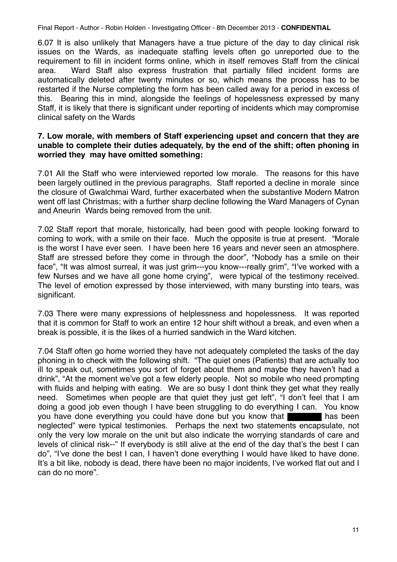6.07 It is also unlikely that Managers have a true picture of the day to day clinical risk issues on the Wards, as inadequate staffing levels often go unreported due to the requirement to fill in incident forms online, which in itself removes Staff from the clinical area. Ward Staff also express frustration that partially filled incident forms are automatically deleted after twenty minutes or so, which means the process has to be restarted if the Nurse completing the form has been called away for a period in excess of this. Bearing this in mind, alongside the feelings of hopelessness expressed by many Staff, it is likely that there is significant under reporting of incidents which may compromise clinical safety on the Wards

### **7. Low morale, with members of Staff experiencing upset and concern that they are unable to complete their duties adequately, by the end of the shift; often phoning in worried they may have omitted something:**

7.01 All the Staff who were interviewed reported low morale. The reasons for this have been largely outlined in the previous paragraphs. Staff reported a decline in morale since the closure of Gwalchmai Ward, further exacerbated when the substantive Modern Matron went off last Christmas; with a further sharp decline following the Ward Managers of Cynan and Aneurin Wards being removed from the unit.

7.02 Staff report that morale, historically, had been good with people looking forward to coming to work, with a smile on their face. Much the opposite is true at present. "Morale is the worst I have ever seen. I have been here 16 years and never seen an atmosphere. Staff are stressed before they come in through the door", "Nobody has a smile on their face", "It was almost surreal, it was just grim---you know---really grim", "I've worked with a few Nurses and we have all gone home crying", were typical of the testimony received. The level of emotion expressed by those interviewed, with many bursting into tears, was significant.

7.03 There were many expressions of helplessness and hopelessness. It was reported that it is common for Staff to work an entire 12 hour shift without a break, and even when a break is possible, it is the likes of a hurried sandwich in the Ward kitchen.

7.04 Staff often go home worried they have not adequately completed the tasks of the day phoning in to check with the following shift. "The quiet ones (Patients) that are actually too ill to speak out, sometimes you sort of forget about them and maybe they haven't had a drink", "At the moment we've got a few elderly people. Not so mobile who need prompting with fluids and helping with eating. We are so busy I dont think they get what they really need. Sometimes when people are that quiet they just get left", "I don't feel that I am doing a good job even though I have been struggling to do everything I can. You know you have done everything you could have done but you know that has been neglected" were typical testimonies. Perhaps the next two statements encapsulate, not only the very low morale on the unit but also indicate the worrying standards of care and levels of clinical risk--" If everybody is still alive at the end of the day that's the best I can do", "I've done the best I can, I haven't done everything I would have liked to have done. It's a bit like, nobody is dead, there have been no major incidents, I've worked flat out and I can do no more".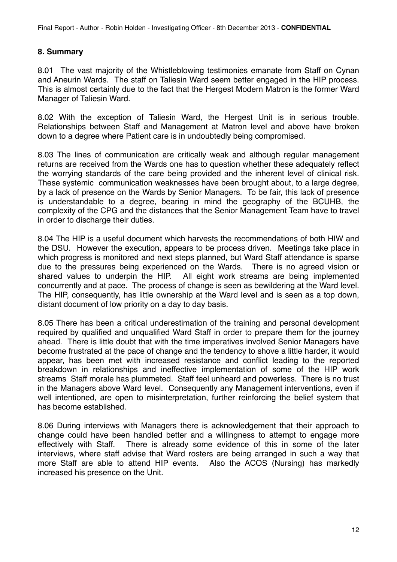# **8. Summary**

8.01 The vast majority of the Whistleblowing testimonies emanate from Staff on Cynan and Aneurin Wards. The staff on Taliesin Ward seem better engaged in the HIP process. This is almost certainly due to the fact that the Hergest Modern Matron is the former Ward Manager of Taliesin Ward.

8.02 With the exception of Taliesin Ward, the Hergest Unit is in serious trouble. Relationships between Staff and Management at Matron level and above have broken down to a degree where Patient care is in undoubtedly being compromised.

8.03 The lines of communication are critically weak and although regular management returns are received from the Wards one has to question whether these adequately reflect the worrying standards of the care being provided and the inherent level of clinical risk. These systemic communication weaknesses have been brought about, to a large degree, by a lack of presence on the Wards by Senior Managers. To be fair, this lack of presence is understandable to a degree, bearing in mind the geography of the BCUHB, the complexity of the CPG and the distances that the Senior Management Team have to travel in order to discharge their duties.

8.04 The HIP is a useful document which harvests the recommendations of both HIW and the DSU. However the execution, appears to be process driven. Meetings take place in which progress is monitored and next steps planned, but Ward Staff attendance is sparse due to the pressures being experienced on the Wards. There is no agreed vision or shared values to underpin the HIP. All eight work streams are being implemented concurrently and at pace. The process of change is seen as bewildering at the Ward level. The HIP, consequently, has little ownership at the Ward level and is seen as a top down, distant document of low priority on a day to day basis.

8.05 There has been a critical underestimation of the training and personal development required by qualified and unqualified Ward Staff in order to prepare them for the journey ahead. There is little doubt that with the time imperatives involved Senior Managers have become frustrated at the pace of change and the tendency to shove a little harder, it would appear, has been met with increased resistance and conflict leading to the reported breakdown in relationships and ineffective implementation of some of the HIP work streams Staff morale has plummeted. Staff feel unheard and powerless. There is no trust in the Managers above Ward level. Consequently any Management interventions, even if well intentioned, are open to misinterpretation, further reinforcing the belief system that has become established.

8.06 During interviews with Managers there is acknowledgement that their approach to change could have been handled better and a willingness to attempt to engage more effectively with Staff. There is already some evidence of this in some of the later interviews, where staff advise that Ward rosters are being arranged in such a way that more Staff are able to attend HIP events. Also the ACOS (Nursing) has markedly increased his presence on the Unit.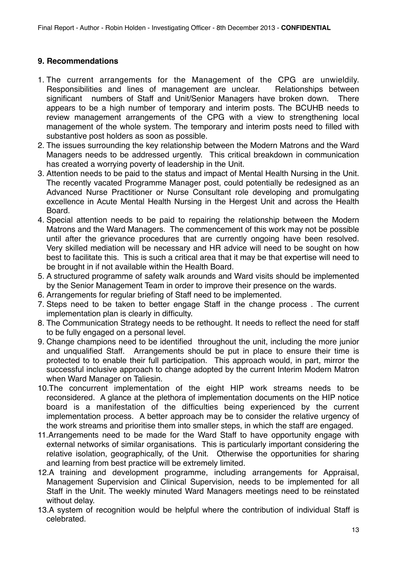# **9. Recommendations**

- 1. The current arrangements for the Management of the CPG are unwieldily. Responsibilities and lines of management are unclear. Relationships between significant numbers of Staff and Unit/Senior Managers have broken down. There appears to be a high number of temporary and interim posts. The BCUHB needs to review management arrangements of the CPG with a view to strengthening local management of the whole system. The temporary and interim posts need to filled with substantive post holders as soon as possible.
- 2. The issues surrounding the key relationship between the Modern Matrons and the Ward Managers needs to be addressed urgently. This critical breakdown in communication has created a worrying poverty of leadership in the Unit.
- 3. Attention needs to be paid to the status and impact of Mental Health Nursing in the Unit. The recently vacated Programme Manager post, could potentially be redesigned as an Advanced Nurse Practitioner or Nurse Consultant role developing and promulgating excellence in Acute Mental Health Nursing in the Hergest Unit and across the Health Board.
- 4. Special attention needs to be paid to repairing the relationship between the Modern Matrons and the Ward Managers. The commencement of this work may not be possible until after the grievance procedures that are currently ongoing have been resolved. Very skilled mediation will be necessary and HR advice will need to be sought on how best to facilitate this. This is such a critical area that it may be that expertise will need to be brought in if not available within the Health Board.
- 5. A structured programme of safety walk arounds and Ward visits should be implemented by the Senior Management Team in order to improve their presence on the wards.
- 6. Arrangements for regular briefing of Staff need to be implemented.
- 7. Steps need to be taken to better engage Staff in the change process . The current implementation plan is clearly in difficulty.
- 8. The Communication Strategy needs to be rethought. It needs to reflect the need for staff to be fully engaged on a personal level.
- 9. Change champions need to be identified throughout the unit, including the more junior and unqualified Staff. Arrangements should be put in place to ensure their time is protected to to enable their full participation. This approach would, in part, mirror the successful inclusive approach to change adopted by the current Interim Modern Matron when Ward Manager on Taliesin.
- 10.The concurrent implementation of the eight HIP work streams needs to be reconsidered. A glance at the plethora of implementation documents on the HIP notice board is a manifestation of the difficulties being experienced by the current implementation process. A better approach may be to consider the relative urgency of the work streams and prioritise them into smaller steps, in which the staff are engaged.
- 11.Arrangements need to be made for the Ward Staff to have opportunity engage with external networks of similar organisations. This is particularly important considering the relative isolation, geographically, of the Unit. Otherwise the opportunities for sharing and learning from best practice will be extremely limited.
- 12.A training and development programme, including arrangements for Appraisal, Management Supervision and Clinical Supervision, needs to be implemented for all Staff in the Unit. The weekly minuted Ward Managers meetings need to be reinstated without delay.
- 13.A system of recognition would be helpful where the contribution of individual Staff is celebrated.